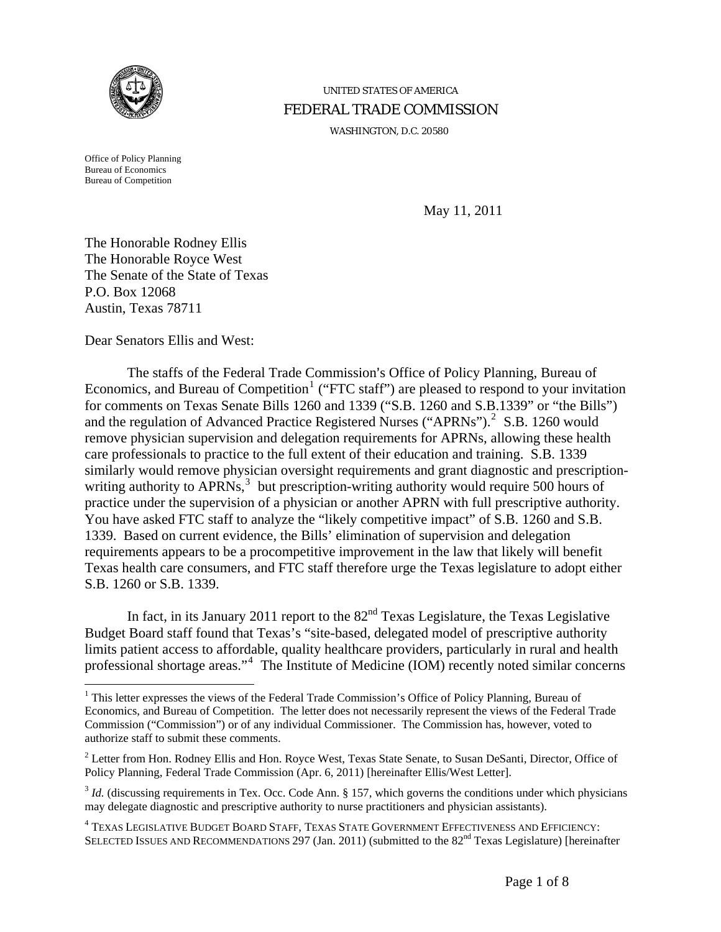

# UNITED STATES OF AMERICA FEDERAL TRADE COMMISSION

WASHINGTON, D.C. 20580

Office of Policy Planning Bureau of Economics Bureau of Competition

 $\overline{a}$ 

May 11, 2011

The Honorable Rodney Ellis The Honorable Royce West The Senate of the State of Texas P.O. Box 12068 Austin, Texas 78711

Dear Senators Ellis and West:

The staffs of the Federal Trade Commission's Office of Policy Planning, Bureau of Economics, and Bureau of Competition<sup>[1](#page-0-0)</sup> ("FTC staff") are pleased to respond to your invitation for comments on Texas Senate Bills 1260 and 1339 ("S.B. 1260 and S.B.1339" or "the Bills") and the regulation of Advanced Practice Registered Nurses ("APRNs"). $2$  S.B. 1260 would remove physician supervision and delegation requirements for APRNs, allowing these health care professionals to practice to the full extent of their education and training. S.B. 1339 similarly would remove physician oversight requirements and grant diagnostic and prescription-writing authority to APRNs,<sup>[3](#page-0-2)</sup> but prescription-writing authority would require 500 hours of practice under the supervision of a physician or another APRN with full prescriptive authority. You have asked FTC staff to analyze the "likely competitive impact" of S.B. 1260 and S.B. 1339. Based on current evidence, the Bills' elimination of supervision and delegation requirements appears to be a procompetitive improvement in the law that likely will benefit Texas health care consumers, and FTC staff therefore urge the Texas legislature to adopt either S.B. 1260 or S.B. 1339.

In fact, in its January 2011 report to the  $82<sup>nd</sup>$  Texas Legislature, the Texas Legislative Budget Board staff found that Texas's "site-based, delegated model of prescriptive authority limits patient access to affordable, quality healthcare providers, particularly in rural and health professional shortage areas."<sup>[4](#page-0-3)</sup> The Institute of Medicine (IOM) recently noted similar concerns

<span id="page-0-0"></span><sup>&</sup>lt;sup>1</sup> This letter expresses the views of the Federal Trade Commission's Office of Policy Planning, Bureau of Economics, and Bureau of Competition. The letter does not necessarily represent the views of the Federal Trade Commission ("Commission") or of any individual Commissioner. The Commission has, however, voted to authorize staff to submit these comments.

<span id="page-0-1"></span> $2^2$  Letter from Hon. Rodney Ellis and Hon. Royce West, Texas State Senate, to Susan DeSanti, Director, Office of Policy Planning, Federal Trade Commission (Apr. 6, 2011) [hereinafter Ellis/West Letter].

<span id="page-0-2"></span><sup>&</sup>lt;sup>3</sup> *Id.* (discussing requirements in Tex. Occ. Code Ann. § 157, which governs the conditions under which physicians may delegate diagnostic and prescriptive authority to nurse practitioners and physician assistants).

<span id="page-0-3"></span><sup>&</sup>lt;sup>4</sup> Texas Legislative Budget Board Staff, Texas State Government Effectiveness and Efficiency: SELECTED ISSUES AND RECOMMENDATIONS 297 (Jan. 2011) (submitted to the 82<sup>nd</sup> Texas Legislature) [hereinafter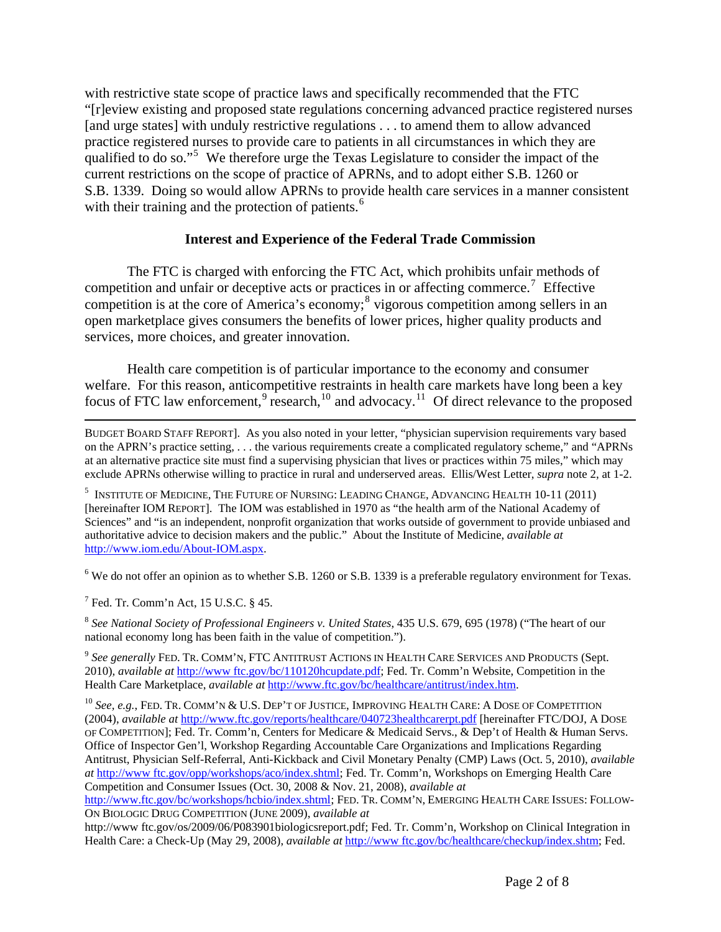with restrictive state scope of practice laws and specifically recommended that the FTC "[r]eview existing and proposed state regulations concerning advanced practice registered nurses [and urge states] with unduly restrictive regulations . . . to amend them to allow advanced practice registered nurses to provide care to patients in all circumstances in which they are qualified to do so."<sup>[5](#page-1-0)</sup> We therefore urge the Texas Legislature to consider the impact of the current restrictions on the scope of practice of APRNs, and to adopt either S.B. 1260 or S.B. 1339. Doing so would allow APRNs to provide health care services in a manner consistent with their training and the protection of patients.<sup>[6](#page-1-1)</sup>

#### **Interest and Experience of the Federal Trade Commission**

The FTC is charged with enforcing the FTC Act, which prohibits unfair methods of competition and unfair or deceptive acts or practices in or affecting commerce.<sup>[7](#page-1-2)</sup> Effective competition is at the core of America's economy;<sup>[8](#page-1-3)</sup> vigorous competition among sellers in an open marketplace gives consumers the benefits of lower prices, higher quality products and services, more choices, and greater innovation.

Health care competition is of particular importance to the economy and consumer welfare. For this reason, anticompetitive restraints in health care markets have long been a key focus of FTC law enforcement,<sup>[9](#page-1-4)</sup> research,<sup>[10](#page-1-5)</sup> and advocacy.<sup>[11](#page-1-6)</sup> Of direct relevance to the proposed

<span id="page-1-6"></span> BUDGET BOARD STAFF REPORT]. As you also noted in your letter, "physician supervision requirements vary based on the APRN's practice setting, . . . the various requirements create a complicated regulatory scheme," and "APRNs at an alternative practice site must find a supervising physician that lives or practices within 75 miles," which may exclude APRNs otherwise willing to practice in rural and underserved areas. Ellis/West Letter, *supra* note 2, at 1-2.

<span id="page-1-0"></span> $^5$  Institute of Medicine, The Future of Nursing: Leading Change, Advancing Health 10-11 (2011) [hereinafter IOM REPORT]. The IOM was established in 1970 as "the health arm of the National Academy of Sciences" and "is an independent, nonprofit organization that works outside of government to provide unbiased and authoritative advice to decision makers and the public." About the Institute of Medicine, *available at*  [http://www.iom.edu/About-IOM.aspx.](http://www.iom.edu/About-IOM.aspx)

<span id="page-1-1"></span> $6$  We do not offer an opinion as to whether S.B. 1260 or S.B. 1339 is a preferable regulatory environment for Texas.

<span id="page-1-2"></span> $<sup>7</sup>$  Fed. Tr. Comm'n Act, 15 U.S.C. § 45.</sup>

<span id="page-1-3"></span><sup>8</sup> *See National Society of Professional Engineers v. United States*, 435 U.S. 679, 695 (1978) ("The heart of our national economy long has been faith in the value of competition.").

<span id="page-1-4"></span><sup>9</sup> *See generally* FED. TR. COMM'N, FTC ANTITRUST ACTIONS IN HEALTH CARE SERVICES AND PRODUCTS (Sept. 2010)*, available at* [http://www ftc.gov/bc/110120hcupdate.pdf](http://www.ftc.gov/bc/110120hcupdate.pdf); Fed. Tr. Comm'n Website, Competition in the Health Care Marketplace, *available at* <http://www.ftc.gov/bc/healthcare/antitrust/index.htm>.

<span id="page-1-5"></span><sup>10</sup> See, e.g., FED. Tr. COMM'N & U.S. DEP'T OF JUSTICE, IMPROVING HEALTH CARE: A DOSE OF COMPETITION (2004), *available at* <http://www.ftc.gov/reports/healthcare/040723healthcarerpt.pdf>[hereinafter FTC/DOJ, A DOSE OF COMPETITION]; Fed. Tr. Comm'n, Centers for Medicare & Medicaid Servs., & Dep't of Health & Human Servs. Office of Inspector Gen'l, Workshop Regarding Accountable Care Organizations and Implications Regarding Antitrust, Physician Self-Referral, Anti-Kickback and Civil Monetary Penalty (CMP) Laws (Oct. 5, 2010), *available at* [http://www ftc.gov/opp/workshops/aco/index.shtml;](http://www.ftc.gov/opp/workshops/aco/index.shtml) Fed. Tr. Comm'n, Workshops on Emerging Health Care Competition and Consumer Issues (Oct. 30, 2008 & Nov. 21, 2008), *available at*

<http://www.ftc.gov/bc/workshops/hcbio/index.shtml>; FED. TR. COMM'N, EMERGING HEALTH CARE ISSUES: FOLLOW-ON BIOLOGIC DRUG COMPETITION (JUNE 2009), *available at*

http://www ftc.gov/os/2009/06/P083901biologicsreport.pdf; Fed. Tr. Comm'n, Workshop on Clinical Integration in Health Care: a Check-Up (May 29, 2008), *available at* [http://www ftc.gov/bc/healthcare/checkup/index.shtm](http://www.ftc.gov/bc/healthcare/checkup/index.shtm); Fed.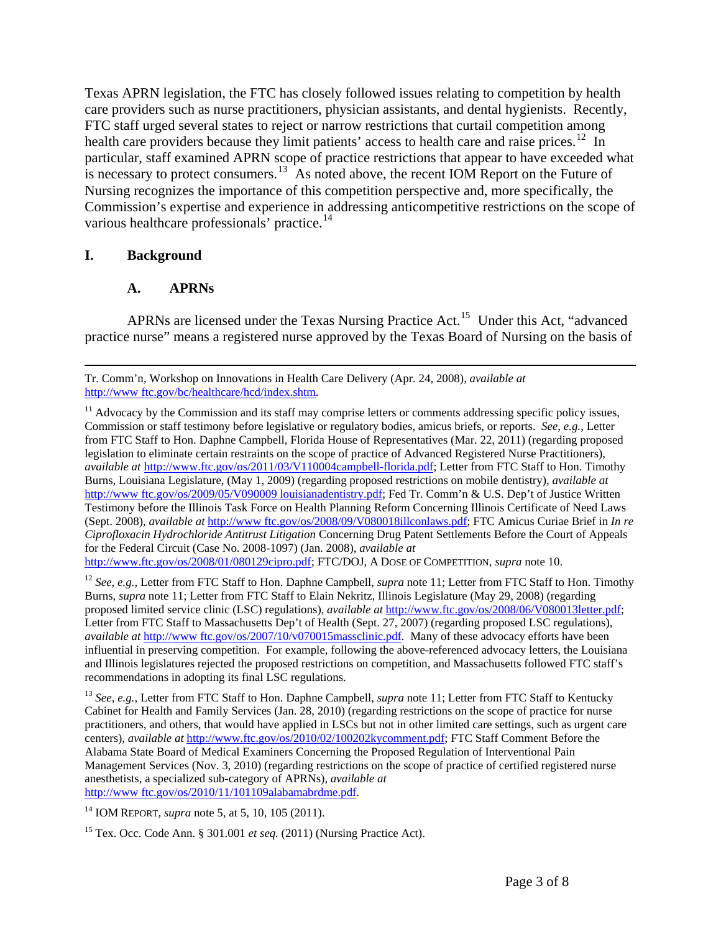Texas APRN legislation, the FTC has closely followed issues relating to competition by health care providers such as nurse practitioners, physician assistants, and dental hygienists. Recently, FTC staff urged several states to reject or narrow restrictions that curtail competition among health care providers because they limit patients' access to health care and raise prices.<sup>[12](#page-2-0)</sup> In particular, staff examined APRN scope of practice restrictions that appear to have exceeded what is necessary to protect consumers.<sup>[13](#page-2-1)</sup> As noted above, the recent IOM Report on the Future of Nursing recognizes the importance of this competition perspective and, more specifically, the Commission's expertise and experience in addressing anticompetitive restrictions on the scope of various healthcare professionals' practice.<sup>[14](#page-2-2)</sup>

# **I. Background**

### **A. APRNs**

APRNs are licensed under the Texas Nursing Practice Act.<sup>[15](#page-2-3)</sup> Under this Act, "advanced" practice nurse" means a registered nurse approved by the Texas Board of Nursing on the basis of

<span id="page-2-2"></span>14 IOM REPORT, *supra* note 5, at 5, 10, 105 (2011).

Tr. Comm'n, Workshop on Innovations in Health Care Delivery (Apr. 24, 2008), *available at*  [http://www ftc.gov/bc/healthcare/hcd/index.shtm](http://www.ftc.gov/bc/healthcare/hcd/index.shtm).

 $11$  Advocacy by the Commission and its staff may comprise letters or comments addressing specific policy issues, Commission or staff testimony before legislative or regulatory bodies, amicus briefs, or reports. *See, e.g.*, Letter from FTC Staff to Hon. Daphne Campbell, Florida House of Representatives (Mar. 22, 2011) (regarding proposed legislation to eliminate certain restraints on the scope of practice of Advanced Registered Nurse Practitioners), *available at* <http://www.ftc.gov/os/2011/03/V110004campbell-florida.pdf>; Letter from FTC Staff to Hon. Timothy Burns, Louisiana Legislature, (May 1, 2009) (regarding proposed restrictions on mobile dentistry), *available at*  [http://www ftc.gov/os/2009/05/V090009 louisianadentistry.pdf;](http://www.ftc.gov/os/2009/05/V090009%20louisianadentistry.pdf) [Fed Tr. Comm'n & U.S. Dep't of Justice Written](http://www.ftc.gov/os/2008/09/V080018illconlaws.pdf)  [Testimony before the Illinois Task Force on Health Planning Reform Concerning Illinois Certificate of Need Laws](http://www.ftc.gov/os/2008/09/V080018illconlaws.pdf) (Sept. 2008), *available at* [http://www ftc.gov/os/2008/09/V080018illconlaws.pdf;](http://www.ftc.gov/os/2008/09/V080018illconlaws.pdf) [FTC Amicus Curiae Brief in](http://www.ftc.gov/os/2008/01/080129cipro.pdf) *In re Ciprofloxacin Hydrochloride Antitrust Litigation* [Concerning Drug Patent Settlements Before the Court of Appeals](http://www.ftc.gov/os/2008/01/080129cipro.pdf)  [for the Federal Circuit](http://www.ftc.gov/os/2008/01/080129cipro.pdf) (Case No. 2008-1097) (Jan. 2008), *available at*

<http://www.ftc.gov/os/2008/01/080129cipro.pdf>; FTC/DOJ, A DOSE OF COMPETITION, *supra* note 10.

<span id="page-2-0"></span><sup>&</sup>lt;sup>12</sup> *See, e.g., Letter from FTC Staff to Hon. Daphne Campbell, <i>supra* note 11; Letter from FTC Staff to Hon. Timothy Burns, *supra* note 11; Letter from FTC Staff to Elain Nekritz, Illinois Legislature (May 29, 2008) (regarding proposed limited service clinic (LSC) regulations), *available at* http://www.ftc.gov/os/2008/06/V080013letter.pdf; Letter from FTC Staff to Massachusetts Dep't of Health (Sept. 27, 2007) (regarding proposed LSC regulations), *available at* http://www ftc.gov/os/2007/10/v070015massclinic.pdf*.* Many of these advocacy efforts have been influential in preserving competition. For example, following the above-referenced advocacy letters, the Louisiana and Illinois legislatures rejected the proposed restrictions on competition, and Massachusetts followed FTC staff's recommendations in adopting its final LSC regulations.

<span id="page-2-1"></span><sup>13</sup> *See, e.g.*, Letter from FTC Staff to Hon. Daphne Campbell, *supra* note 11; Letter from FTC Staff to Kentucky Cabinet for Health and Family Services (Jan. 28, 2010) (regarding restrictions on the scope of practice for nurse practitioners, and others, that would have applied in LSCs but not in other limited care settings, such as urgent care centers), *available at* [http://www.ftc.gov/os/2010/02/100202kycomment.pdf;](http://www.ftc.gov/os/2010/02/100202kycomment.pdf) [FTC Staff Comment Before the](http://www.ftc.gov/os/2010/11/101109alabamabrdme.pdf)  [Alabama State Board of Medical Examiners Concerning the Proposed Regulation of Interventional Pain](http://www.ftc.gov/os/2010/11/101109alabamabrdme.pdf)  [Management Services](http://www.ftc.gov/os/2010/11/101109alabamabrdme.pdf) (Nov. 3, 2010) (regarding restrictions on the scope of practice of certified registered nurse anesthetists, a specialized sub-category of APRNs), *available at* [http://www ftc.gov/os/2010/11/101109alabamabrdme.pdf.](http://www.ftc.gov/os/2010/11/101109alabamabrdme.pdf)

<span id="page-2-3"></span><sup>15</sup> Tex. Occ. Code Ann. § 301.001 *et seq.* (2011) (Nursing Practice Act).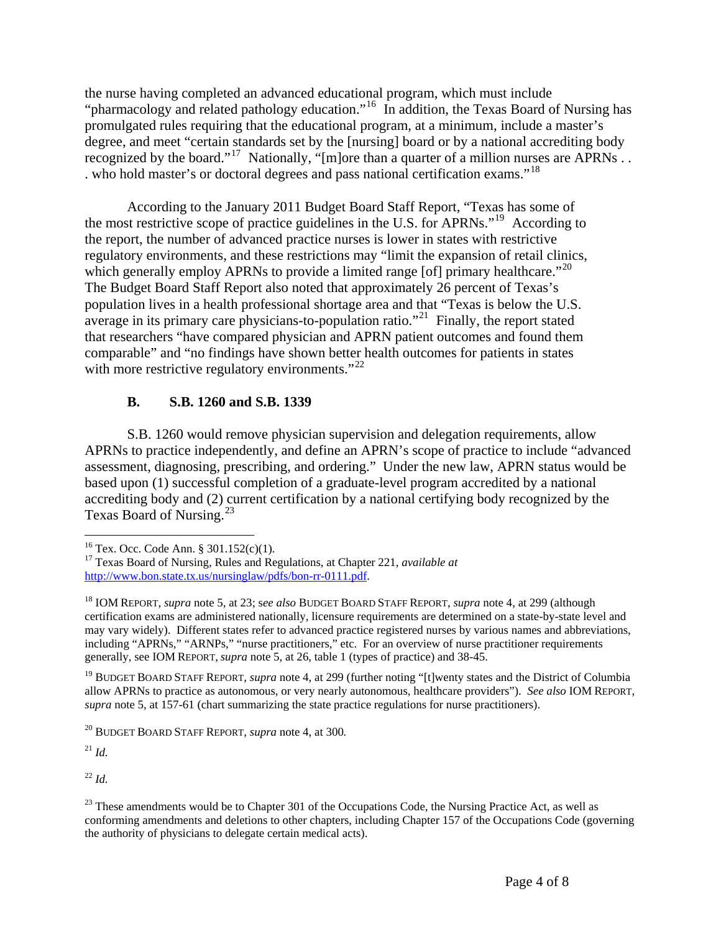the nurse having completed an advanced educational program, which must include "pharmacology and related pathology education."[16](#page-3-0) In addition, the Texas Board of Nursing has promulgated rules requiring that the educational program, at a minimum, include a master's degree, and meet "certain standards set by the [nursing] board or by a national accrediting body recognized by the board."<sup>[17](#page-3-1)</sup> Nationally, "[m]ore than a quarter of a million nurses are APRNs . . . who hold master's or doctoral degrees and pass national certification exams."[18](#page-3-2)

According to the January 2011 Budget Board Staff Report, "Texas has some of the most restrictive scope of practice guidelines in the U.S. for APRNs."<sup>[19](#page-3-3)</sup> According to the report, the number of advanced practice nurses is lower in states with restrictive regulatory environments, and these restrictions may "limit the expansion of retail clinics, which generally employ APRNs to provide a limited range [of] primary healthcare.<sup> $20$ </sup> The Budget Board Staff Report also noted that approximately 26 percent of Texas's population lives in a health professional shortage area and that "Texas is below the U.S. average in its primary care physicians-to-population ratio.<sup> $21$ </sup> Finally, the report stated that researchers "have compared physician and APRN patient outcomes and found them comparable" and "no findings have shown better health outcomes for patients in states with more restrictive regulatory environments." $^{22}$  $^{22}$  $^{22}$ 

# **B. S.B. 1260 and S.B. 1339**

S.B. 1260 would remove physician supervision and delegation requirements, allow APRNs to practice independently, and define an APRN's scope of practice to include "advanced assessment, diagnosing, prescribing, and ordering." Under the new law, APRN status would be based upon (1) successful completion of a graduate-level program accredited by a national accrediting body and (2) current certification by a national certifying body recognized by the Texas Board of Nursing.<sup>[23](#page-3-7)</sup>

<span id="page-3-3"></span>19 BUDGET BOARD STAFF REPORT, *supra* note 4, at 299 (further noting "[t]wenty states and the District of Columbia allow APRNs to practice as autonomous, or very nearly autonomous, healthcare providers"). *See also* IOM REPORT, *supra* note 5, at 157-61 (chart summarizing the state practice regulations for nurse practitioners).

<span id="page-3-4"></span>20 BUDGET BOARD STAFF REPORT, *supra* note 4, at 300*.*

<span id="page-3-5"></span><sup>21</sup> *Id.*

 $\overline{a}$ 

<span id="page-3-6"></span><sup>22</sup> *Id.*

<span id="page-3-1"></span><span id="page-3-0"></span><sup>16</sup> Tex. Occ. Code Ann. § 301.152(c)(1)*.* 17 Texas Board of Nursing, Rules and Regulations, at Chapter 221, *available at* [http://www.bon.state.tx.us/nursinglaw/pdfs/bon-rr-0111.pdf.](http://www.bon.state.tx.us/nursinglaw/pdfs/bon-rr-0111.pdf)

<span id="page-3-2"></span><sup>18</sup> IOM REPORT, *supra* note 5, at 23; s*ee also* BUDGET BOARD STAFF REPORT, *supra* note 4, at 299 (although certification exams are administered nationally, licensure requirements are determined on a state-by-state level and may vary widely). Different states refer to advanced practice registered nurses by various names and abbreviations, including "APRNs," "ARNPs," "nurse practitioners," etc. For an overview of nurse practitioner requirements generally, see IOM REPORT, *supra* note 5, at 26, table 1 (types of practice) and 38-45.

<span id="page-3-7"></span> $^{23}$  These amendments would be to Chapter 301 of the Occupations Code, the Nursing Practice Act, as well as conforming amendments and deletions to other chapters, including Chapter 157 of the Occupations Code (governing the authority of physicians to delegate certain medical acts).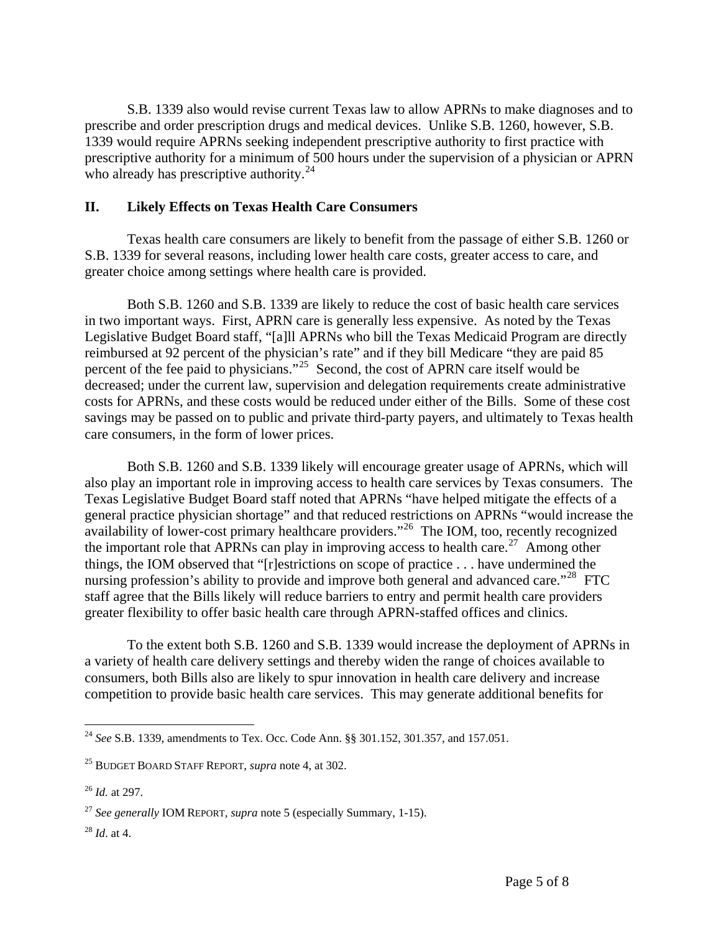S.B. 1339 also would revise current Texas law to allow APRNs to make diagnoses and to prescribe and order prescription drugs and medical devices. Unlike S.B. 1260, however, S.B. 1339 would require APRNs seeking independent prescriptive authority to first practice with prescriptive authority for a minimum of 500 hours under the supervision of a physician or APRN who already has prescriptive authority.<sup>[24](#page-4-0)</sup>

### **II. Likely Effects on Texas Health Care Consumers**

Texas health care consumers are likely to benefit from the passage of either S.B. 1260 or S.B. 1339 for several reasons, including lower health care costs, greater access to care, and greater choice among settings where health care is provided.

Both S.B. 1260 and S.B. 1339 are likely to reduce the cost of basic health care services in two important ways. First, APRN care is generally less expensive. As noted by the Texas Legislative Budget Board staff, "[a]ll APRNs who bill the Texas Medicaid Program are directly reimbursed at 92 percent of the physician's rate" and if they bill Medicare "they are paid 85 percent of the fee paid to physicians."<sup>[25](#page-4-1)</sup> Second, the cost of APRN care itself would be decreased; under the current law, supervision and delegation requirements create administrative costs for APRNs, and these costs would be reduced under either of the Bills. Some of these cost savings may be passed on to public and private third-party payers, and ultimately to Texas health care consumers, in the form of lower prices.

Both S.B. 1260 and S.B. 1339 likely will encourage greater usage of APRNs, which will also play an important role in improving access to health care services by Texas consumers. The Texas Legislative Budget Board staff noted that APRNs "have helped mitigate the effects of a general practice physician shortage" and that reduced restrictions on APRNs "would increase the availability of lower-cost primary healthcare providers."<sup>[26](#page-4-2)</sup> The IOM, too, recently recognized the important role that APRNs can play in improving access to health care.<sup>[27](#page-4-3)</sup> Among other things, the IOM observed that "[r]estrictions on scope of practice . . . have undermined the nursing profession's ability to provide and improve both general and advanced care."<sup>[28](#page-4-4)</sup> FTC staff agree that the Bills likely will reduce barriers to entry and permit health care providers greater flexibility to offer basic health care through APRN-staffed offices and clinics.

To the extent both S.B. 1260 and S.B. 1339 would increase the deployment of APRNs in a variety of health care delivery settings and thereby widen the range of choices available to consumers, both Bills also are likely to spur innovation in health care delivery and increase competition to provide basic health care services. This may generate additional benefits for

<span id="page-4-4"></span><sup>28</sup> *Id*. at 4.

<span id="page-4-0"></span><sup>&</sup>lt;u>.</u> <sup>24</sup> *See* S.B. 1339, amendments to Tex. Occ. Code Ann. §§ 301.152, 301.357, and 157.051.

<span id="page-4-1"></span><sup>25</sup> BUDGET BOARD STAFF REPORT, *supra* note 4, at 302.

<span id="page-4-2"></span><sup>26</sup> *Id.* at 297.

<span id="page-4-3"></span><sup>27</sup> *See generally* IOM REPORT, *supra* note 5 (especially Summary, 1-15).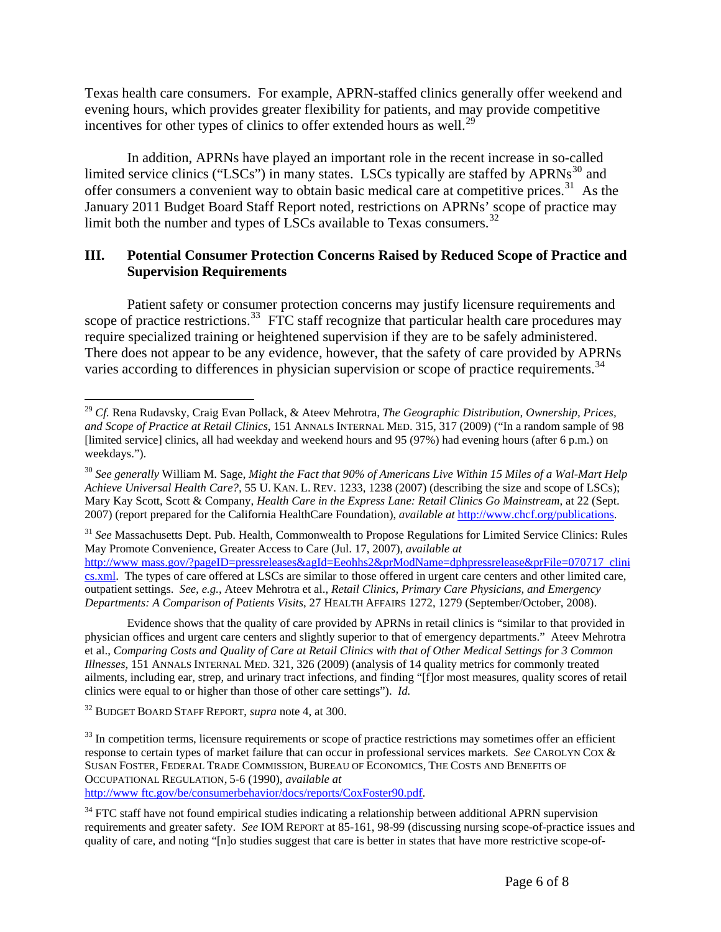Texas health care consumers. For example, APRN-staffed clinics generally offer weekend and evening hours, which provides greater flexibility for patients, and may provide competitive incentives for other types of clinics to offer extended hours as well.<sup>[29](#page-5-0)</sup>

In addition, APRNs have played an important role in the recent increase in so-called limited service clinics ("LSCs") in many states. LSCs typically are staffed by  $APRNs^{30}$  $APRNs^{30}$  $APRNs^{30}$  and offer consumers a convenient way to obtain basic medical care at competitive prices.[31](#page-5-2) As the January 2011 Budget Board Staff Report noted, restrictions on APRNs' scope of practice may limit both the number and types of LSCs available to Texas consumers.<sup>[32](#page-5-3)</sup>

### **III. Potential Consumer Protection Concerns Raised by Reduced Scope of Practice and Supervision Requirements**

Patient safety or consumer protection concerns may justify licensure requirements and scope of practice restrictions.<sup>[33](#page-5-4)</sup> FTC staff recognize that particular health care procedures may require specialized training or heightened supervision if they are to be safely administered. There does not appear to be any evidence, however, that the safety of care provided by APRNs varies according to differences in physician supervision or scope of practice requirements.<sup>[34](#page-5-5)</sup>

<span id="page-5-2"></span><sup>31</sup> See Massachusetts Dept. Pub. Health, Commonwealth to Propose Regulations for Limited Service Clinics: Rules May Promote Convenience, Greater Access to Care (Jul. 17, 2007), *available at* [http://www mass.gov/?pageID=pressreleases&agId=Eeohhs2&prModName=dphpressrelease&prFile=070717 clini](http://www.mass.gov/?pageID=pressreleases&agId=Eeohhs2&prModName=dphpressrelease&prFile=070717_clinics.xml) [cs.xml](http://www.mass.gov/?pageID=pressreleases&agId=Eeohhs2&prModName=dphpressrelease&prFile=070717_clinics.xml). The types of care offered at LSCs are similar to those offered in urgent care centers and other limited care, outpatient settings. *See, e.g.*, Ateev Mehrotra et al., *Retail Clinics, Primary Care Physicians, and Emergency Departments: A Comparison of Patients Visits*, 27 HEALTH AFFAIRS 1272, 1279 (September/October, 2008).

Evidence shows that the quality of care provided by APRNs in retail clinics is "similar to that provided in physician offices and urgent care centers and slightly superior to that of emergency departments." Ateev Mehrotra et al., *Comparing Costs and Quality of Care at Retail Clinics with that of Other Medical Settings for 3 Common Illnesses*, 151 ANNALS INTERNAL MED. 321, 326 (2009) (analysis of 14 quality metrics for commonly treated ailments, including ear, strep, and urinary tract infections, and finding "[f]or most measures, quality scores of retail clinics were equal to or higher than those of other care settings"). *Id.*

<span id="page-5-3"></span>32 BUDGET BOARD STAFF REPORT, *supra* note 4, at 300.

<span id="page-5-4"></span> $33$  In competition terms, licensure requirements or scope of practice restrictions may sometimes offer an efficient response to certain types of market failure that can occur in professional services markets. *See* CAROLYN COX & SUSAN FOSTER, FEDERAL TRADE COMMISSION, BUREAU OF ECONOMICS, THE COSTS AND BENEFITS OF OCCUPATIONAL REGULATION, 5-6 (1990), *available at* [http://www ftc.gov/be/consumerbehavior/docs/reports/CoxFoster90.pdf.](http://www.ftc.gov/be/consumerbehavior/docs/reports/CoxFoster90.pdf)

<span id="page-5-5"></span><sup>34</sup> FTC staff have not found empirical studies indicating a relationship between additional APRN supervision requirements and greater safety. *See* IOM REPORT at 85-161, 98-99 (discussing nursing scope-of-practice issues and quality of care, and noting "[n]o studies suggest that care is better in states that have more restrictive scope-of-

<span id="page-5-0"></span><sup>&</sup>lt;u>.</u> <sup>29</sup> *Cf.* Rena Rudavsky, Craig Evan Pollack, & Ateev Mehrotra, *The Geographic Distribution, Ownership, Prices, and Scope of Practice at Retail Clinics*, 151 ANNALS INTERNAL MED. 315, 317 (2009) ("In a random sample of 98 [limited service] clinics, all had weekday and weekend hours and 95 (97%) had evening hours (after 6 p.m.) on weekdays.").

<span id="page-5-1"></span><sup>30</sup> *See generally* William M. Sage, *Might the Fact that 90% of Americans Live Within 15 Miles of a Wal-Mart Help Achieve Universal Health Care?,* 55 U. KAN. L. REV. 1233, 1238 (2007) (describing the size and scope of LSCs); Mary Kay Scott, Scott & Company, *Health Care in the Express Lane: Retail Clinics Go Mainstream*, at 22 (Sept. 2007) (report prepared for the California HealthCare Foundation), *available at* [http://www.chcf.org/publications.](http://www.chcf.org/publications)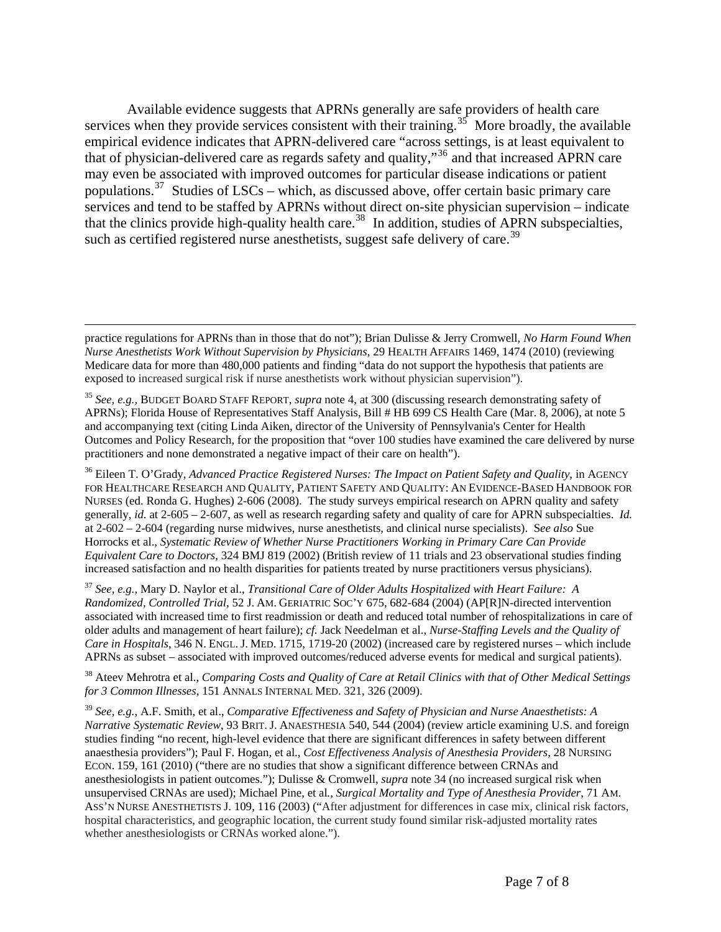Available evidence suggests that APRNs generally are safe providers of health care services when they provide services consistent with their training.<sup>[35](#page-6-0)</sup> More broadly, the available empirical evidence indicates that APRN-delivered care "across settings, is at least equivalent to that of physician-delivered care as regards safety and quality,"[36](#page-6-1) and that increased APRN care may even be associated with improved outcomes for particular disease indications or patient populations.<sup>[37](#page-6-2)</sup> Studies of LSCs – which, as discussed above, offer certain basic primary care services and tend to be staffed by APRNs without direct on-site physician supervision – indicate that the clinics provide high-quality health care.<sup>[38](#page-6-3)</sup> In addition, studies of APRN subspecialties, such as certified registered nurse anesthetists, suggest safe delivery of care.<sup>[39](#page-6-4)</sup>

<span id="page-6-2"></span><sup>37</sup> *See, e.g.*, Mary D. Naylor et al., *Transitional Care of Older Adults Hospitalized with Heart Failure: A Randomized, Controlled Trial*, 52 J. AM. GERIATRIC SOC'Y 675, 682-684 (2004) (AP[R]N-directed intervention associated with increased time to first readmission or death and reduced total number of rehospitalizations in care of older adults and management of heart failure); *cf.* Jack Needelman et al., *Nurse-Staffing Levels and the Quality of Care in Hospitals*, 346 N. ENGL. J. MED. 1715, 1719-20 (2002) (increased care by registered nurses – which include APRNs as subset – associated with improved outcomes/reduced adverse events for medical and surgical patients).

<span id="page-6-3"></span>38 Ateev Mehrotra et al., *Comparing Costs and Quality of Care at Retail Clinics with that of Other Medical Settings for 3 Common Illnesses*, 151 ANNALS INTERNAL MED. 321, 326 (2009).

<span id="page-6-4"></span><sup>39</sup> *See, e.g.*, A.F. Smith, et al., *Comparative Effectiveness and Safety of Physician and Nurse Anaesthetists: A Narrative Systematic Review*, 93 BRIT. J. ANAESTHESIA 540, 544 (2004) (review article examining U.S. and foreign studies finding "no recent, high-level evidence that there are significant differences in safety between different anaesthesia providers"); Paul F. Hogan, et al., *Cost Effectiveness Analysis of Anesthesia Providers*, 28 NURSING ECON. 159, 161 (2010) ("there are no studies that show a significant difference between CRNAs and anesthesiologists in patient outcomes."); Dulisse & Cromwell, *supra* note 34 (no increased surgical risk when unsupervised CRNAs are used); Michael Pine, et al*.*, *Surgical Mortality and Type of Anesthesia Provider*, 71 AM. ASS'N NURSE ANESTHETISTS J. 109, 116 (2003) ("After adjustment for differences in case mix, clinical risk factors, hospital characteristics, and geographic location, the current study found similar risk-adjusted mortality rates whether anesthesiologists or CRNAs worked alone.").

practice regulations for APRNs than in those that do not"); Brian Dulisse & Jerry Cromwell, *No Harm Found When Nurse Anesthetists Work Without Supervision by Physicians*, 29 HEALTH AFFAIRS 1469, 1474 (2010) (reviewing Medicare data for more than 480,000 patients and finding "data do not support the hypothesis that patients are exposed to increased surgical risk if nurse anesthetists work without physician supervision").

<span id="page-6-0"></span><sup>35</sup> *See, e.g.,* BUDGET BOARD STAFF REPORT, *supra* note 4, at 300 (discussing research demonstrating safety of APRNs); Florida House of Representatives Staff Analysis, Bill # HB 699 CS Health Care (Mar. 8, 2006), at note 5 and accompanying text (citing Linda Aiken, director of the University of Pennsylvania's Center for Health Outcomes and Policy Research, for the proposition that "over 100 studies have examined the care delivered by nurse practitioners and none demonstrated a negative impact of their care on health").

<span id="page-6-1"></span><sup>&</sup>lt;sup>36</sup> Eileen T. O'Grady, Advanced Practice Registered Nurses: The Impact on Patient Safety and Quality, in AGENCY FOR HEALTHCARE RESEARCH AND QUALITY, PATIENT SAFETY AND QUALITY: AN EVIDENCE-BASED HANDBOOK FOR NURSES (ed. Ronda G. Hughes) 2-606 (2008). The study surveys empirical research on APRN quality and safety generally, *id.* at 2-605 – 2-607, as well as research regarding safety and quality of care for APRN subspecialties. *Id.* at 2-602 – 2-604 (regarding nurse midwives, nurse anesthetists, and clinical nurse specialists). S*ee also* Sue Horrocks et al., *Systematic Review of Whether Nurse Practitioners Working in Primary Care Can Provide Equivalent Care to Doctors*, 324 BMJ 819 (2002) (British review of 11 trials and 23 observational studies finding increased satisfaction and no health disparities for patients treated by nurse practitioners versus physicians).